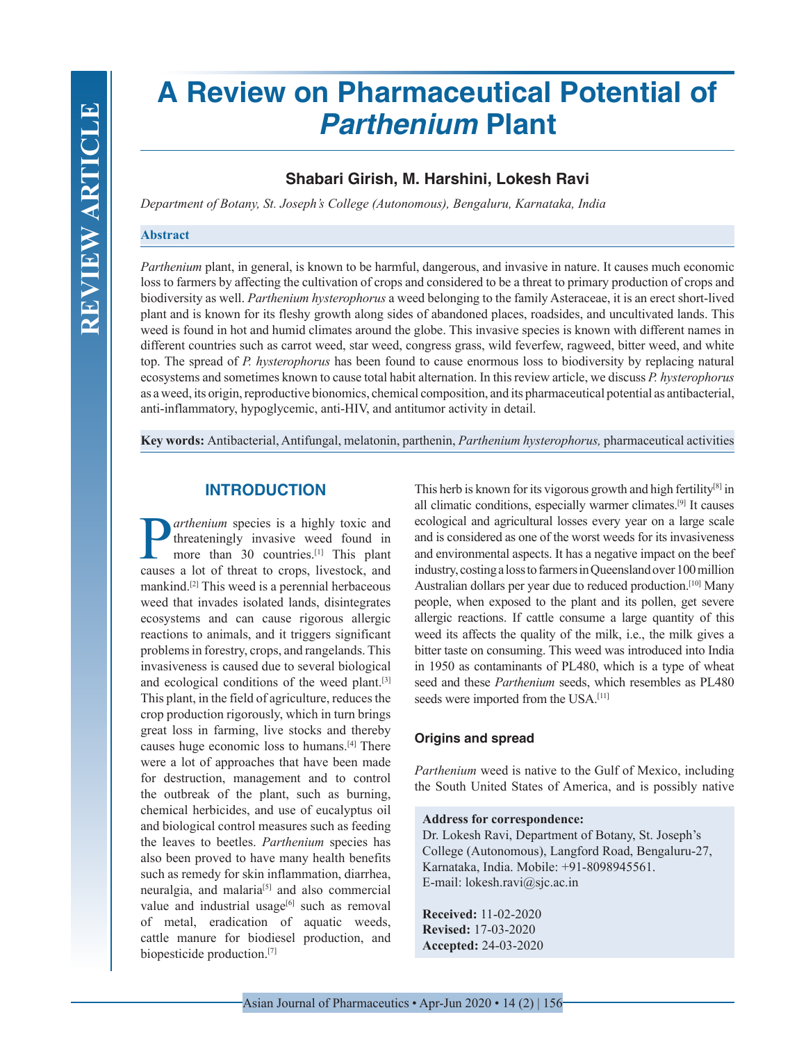# **A Review on Pharmaceutical Potential of**  *Parthenium* **Plant**

# **Shabari Girish, M. Harshini, Lokesh Ravi**

*Department of Botany, St. Joseph's College (Autonomous), Bengaluru, Karnataka, India*

#### **Abstract**

*Parthenium* plant, in general, is known to be harmful, dangerous, and invasive in nature. It causes much economic loss to farmers by affecting the cultivation of crops and considered to be a threat to primary production of crops and biodiversity as well. *Parthenium hysterophorus* a weed belonging to the family Asteraceae, it is an erect short-lived plant and is known for its fleshy growth along sides of abandoned places, roadsides, and uncultivated lands. This weed is found in hot and humid climates around the globe. This invasive species is known with different names in different countries such as carrot weed, star weed, congress grass, wild feverfew, ragweed, bitter weed, and white top. The spread of *P. hysterophorus* has been found to cause enormous loss to biodiversity by replacing natural ecosystems and sometimes known to cause total habit alternation. In this review article, we discuss *P. hysterophorus* as a weed, its origin, reproductive bionomics, chemical composition, and its pharmaceutical potential as antibacterial, anti-inflammatory, hypoglycemic, anti-HIV, and antitumor activity in detail.

**Key words:** Antibacterial, Antifungal, melatonin, parthenin, *Parthenium hysterophorus,* pharmaceutical activities

## **INTRODUCTION**

**P**arthenium species is a highly toxic and<br>threateningly invasive weed found in<br>more than 30 countries.<sup>[1]</sup> This plant<br>causes a lot of threat to crops livestock and threateningly invasive weed found in more than 30 countries.<sup>[1]</sup> This plant causes a lot of threat to crops, livestock, and mankind.[2] This weed is a perennial herbaceous weed that invades isolated lands, disintegrates ecosystems and can cause rigorous allergic reactions to animals, and it triggers significant problems in forestry, crops, and rangelands. This invasiveness is caused due to several biological and ecological conditions of the weed plant.[3] This plant, in the field of agriculture, reduces the crop production rigorously, which in turn brings great loss in farming, live stocks and thereby causes huge economic loss to humans.[4] There were a lot of approaches that have been made for destruction, management and to control the outbreak of the plant, such as burning, chemical herbicides, and use of eucalyptus oil and biological control measures such as feeding the leaves to beetles. *Parthenium* species has also been proved to have many health benefits such as remedy for skin inflammation, diarrhea, neuralgia, and malaria<sup>[5]</sup> and also commercial value and industrial usage $[6]$  such as removal of metal, eradication of aquatic weeds, cattle manure for biodiesel production, and biopesticide production.[7]

This herb is known for its vigorous growth and high fertility<sup>[8]</sup> in all climatic conditions, especially warmer climates.[9] It causes ecological and agricultural losses every year on a large scale and is considered as one of the worst weeds for its invasiveness and environmental aspects. It has a negative impact on the beef industry, costing a loss to farmers in Queensland over 100 million Australian dollars per year due to reduced production.[10] Many people, when exposed to the plant and its pollen, get severe allergic reactions. If cattle consume a large quantity of this weed its affects the quality of the milk, i.e., the milk gives a bitter taste on consuming. This weed was introduced into India in 1950 as contaminants of PL480, which is a type of wheat seed and these *Parthenium* seeds, which resembles as PL480 seeds were imported from the USA.<sup>[11]</sup>

## **Origins and spread**

*Parthenium* weed is native to the Gulf of Mexico, including the South United States of America, and is possibly native

#### **Address for correspondence:**

Dr. Lokesh Ravi, Department of Botany, St. Joseph's College (Autonomous), Langford Road, Bengaluru-27, Karnataka, India. Mobile: +91-8098945561. E-mail: lokesh.ravi@sjc.ac.in

**Received:** 11-02-2020 **Revised:** 17-03-2020 **Accepted:** 24-03-2020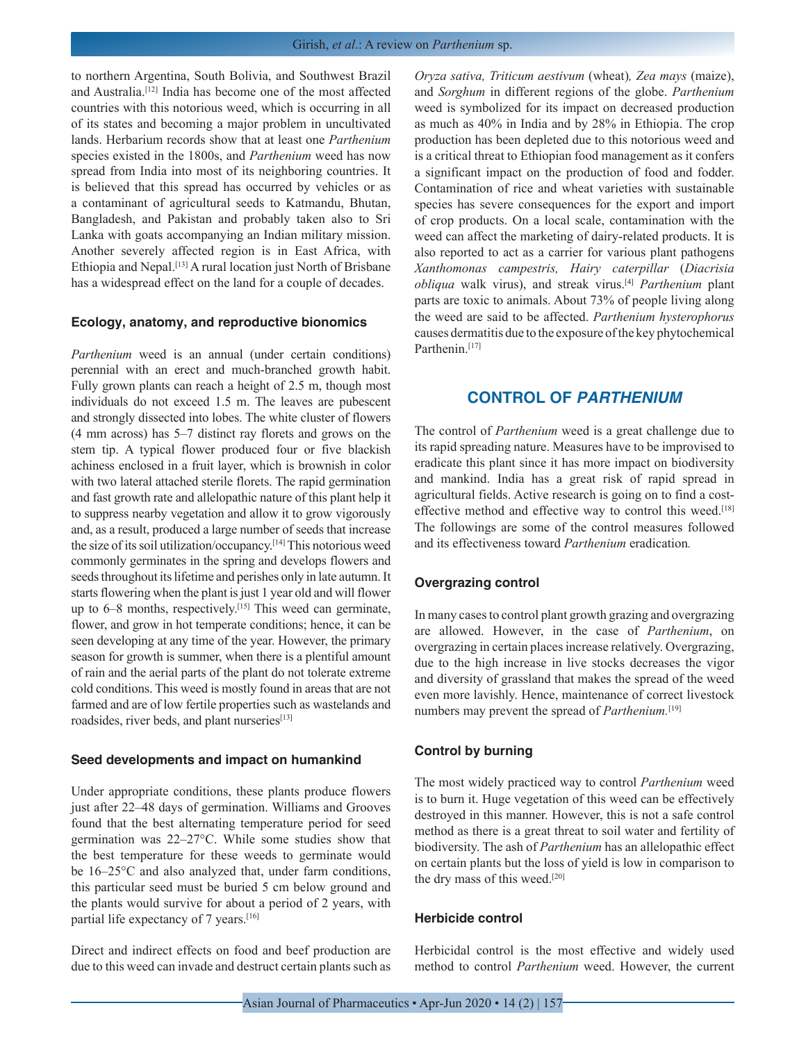to northern Argentina, South Bolivia, and Southwest Brazil and Australia.[12] India has become one of the most affected countries with this notorious weed, which is occurring in all of its states and becoming a major problem in uncultivated lands. Herbarium records show that at least one *Parthenium*  species existed in the 1800s, and *Parthenium* weed has now spread from India into most of its neighboring countries. It is believed that this spread has occurred by vehicles or as a contaminant of agricultural seeds to Katmandu, Bhutan, Bangladesh, and Pakistan and probably taken also to Sri Lanka with goats accompanying an Indian military mission. Another severely affected region is in East Africa, with Ethiopia and Nepal.[13] A rural location just North of Brisbane has a widespread effect on the land for a couple of decades.

#### **Ecology, anatomy, and reproductive bionomics**

*Parthenium* weed is an annual (under certain conditions) perennial with an erect and much-branched growth habit. Fully grown plants can reach a height of 2.5 m, though most individuals do not exceed 1.5 m. The leaves are pubescent and strongly dissected into lobes. The white cluster of flowers (4 mm across) has 5–7 distinct ray florets and grows on the stem tip. A typical flower produced four or five blackish achiness enclosed in a fruit layer, which is brownish in color with two lateral attached sterile florets. The rapid germination and fast growth rate and allelopathic nature of this plant help it to suppress nearby vegetation and allow it to grow vigorously and, as a result, produced a large number of seeds that increase the size of its soil utilization/occupancy.[14] This notorious weed commonly germinates in the spring and develops flowers and seeds throughout its lifetime and perishes only in late autumn. It starts flowering when the plant is just 1 year old and will flower up to  $6-8$  months, respectively.<sup>[15]</sup> This weed can germinate, flower, and grow in hot temperate conditions; hence, it can be seen developing at any time of the year. However, the primary season for growth is summer, when there is a plentiful amount of rain and the aerial parts of the plant do not tolerate extreme cold conditions. This weed is mostly found in areas that are not farmed and are of low fertile properties such as wastelands and roadsides, river beds, and plant nurseries[13]

#### **Seed developments and impact on humankind**

Under appropriate conditions, these plants produce flowers just after 22–48 days of germination. Williams and Grooves found that the best alternating temperature period for seed germination was 22–27°C. While some studies show that the best temperature for these weeds to germinate would be 16–25°C and also analyzed that, under farm conditions, this particular seed must be buried 5 cm below ground and the plants would survive for about a period of 2 years, with partial life expectancy of 7 years.<sup>[16]</sup>

Direct and indirect effects on food and beef production are due to this weed can invade and destruct certain plants such as

*Oryza sativa, Triticum aestivum* (wheat)*, Zea mays* (maize), and *Sorghum* in different regions of the globe. *Parthenium* weed is symbolized for its impact on decreased production as much as 40% in India and by 28% in Ethiopia. The crop production has been depleted due to this notorious weed and is a critical threat to Ethiopian food management as it confers a significant impact on the production of food and fodder. Contamination of rice and wheat varieties with sustainable species has severe consequences for the export and import of crop products. On a local scale, contamination with the weed can affect the marketing of dairy-related products. It is also reported to act as a carrier for various plant pathogens *Xanthomonas campestris, Hairy caterpillar* (*Diacrisia obliqua* walk virus), and streak virus.[4] *Parthenium* plant parts are toxic to animals. About 73% of people living along the weed are said to be affected. *Parthenium hysterophorus* causes dermatitis due to the exposure of the key phytochemical Parthenin.<sup>[17]</sup>

## **CONTROL OF** *PARTHENIUM*

The control of *Parthenium* weed is a great challenge due to its rapid spreading nature. Measures have to be improvised to eradicate this plant since it has more impact on biodiversity and mankind. India has a great risk of rapid spread in agricultural fields. Active research is going on to find a costeffective method and effective way to control this weed.<sup>[18]</sup> The followings are some of the control measures followed and its effectiveness toward *Parthenium* eradication*.*

#### **Overgrazing control**

In many cases to control plant growth grazing and overgrazing are allowed. However, in the case of *Parthenium*, on overgrazing in certain places increase relatively. Overgrazing, due to the high increase in live stocks decreases the vigor and diversity of grassland that makes the spread of the weed even more lavishly. Hence, maintenance of correct livestock numbers may prevent the spread of *Parthenium.*[19]

#### **Control by burning**

The most widely practiced way to control *Parthenium* weed is to burn it. Huge vegetation of this weed can be effectively destroyed in this manner. However, this is not a safe control method as there is a great threat to soil water and fertility of biodiversity. The ash of *Parthenium* has an allelopathic effect on certain plants but the loss of yield is low in comparison to the dry mass of this weed.[20]

#### **Herbicide control**

Herbicidal control is the most effective and widely used method to control *Parthenium* weed. However, the current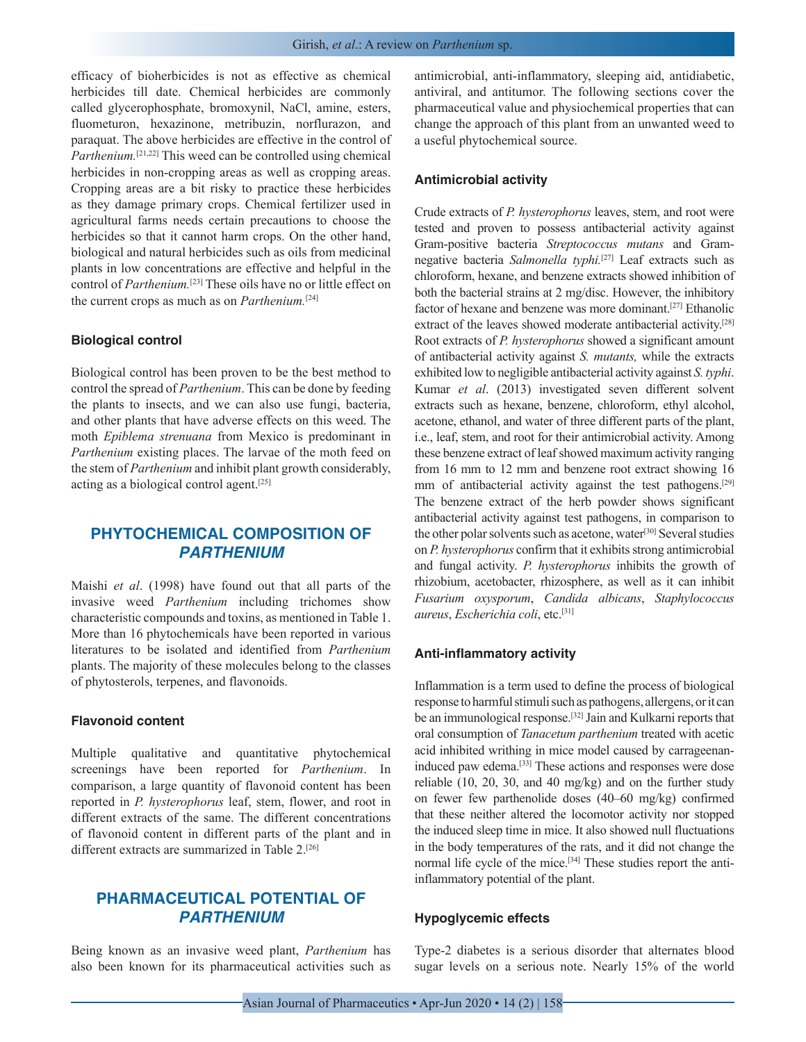efficacy of bioherbicides is not as effective as chemical herbicides till date. Chemical herbicides are commonly called glycerophosphate, bromoxynil, NaCl, amine, esters, fluometuron, hexazinone, metribuzin, norflurazon, and paraquat. The above herbicides are effective in the control of *Parthenium.*<sup>[21,22]</sup> This weed can be controlled using chemical herbicides in non-cropping areas as well as cropping areas. Cropping areas are a bit risky to practice these herbicides as they damage primary crops. Chemical fertilizer used in agricultural farms needs certain precautions to choose the herbicides so that it cannot harm crops. On the other hand, biological and natural herbicides such as oils from medicinal plants in low concentrations are effective and helpful in the control of *Parthenium.*[23] These oils have no or little effect on the current crops as much as on *Parthenium.*[24]

#### **Biological control**

Biological control has been proven to be the best method to control the spread of *Parthenium*. This can be done by feeding the plants to insects, and we can also use fungi, bacteria, and other plants that have adverse effects on this weed. The moth *Epiblema strenuana* from Mexico is predominant in *Parthenium* existing places. The larvae of the moth feed on the stem of *Parthenium* and inhibit plant growth considerably, acting as a biological control agent.[25]

# **PHYTOCHEMICAL COMPOSITION OF**  *PARTHENIUM*

Maishi *et al*. (1998) have found out that all parts of the invasive weed *Parthenium* including trichomes show characteristic compounds and toxins, as mentioned in Table 1. More than 16 phytochemicals have been reported in various literatures to be isolated and identified from *Parthenium* plants. The majority of these molecules belong to the classes of phytosterols, terpenes, and flavonoids.

#### **Flavonoid content**

Multiple qualitative and quantitative phytochemical screenings have been reported for *Parthenium*. In comparison, a large quantity of flavonoid content has been reported in *P. hysterophorus* leaf, stem, flower, and root in different extracts of the same. The different concentrations of flavonoid content in different parts of the plant and in different extracts are summarized in Table 2.<sup>[26]</sup>

# **PHARMACEUTICAL POTENTIAL OF**  *PARTHENIUM*

Being known as an invasive weed plant, *Parthenium* has also been known for its pharmaceutical activities such as antimicrobial, anti-inflammatory, sleeping aid, antidiabetic, antiviral, and antitumor. The following sections cover the pharmaceutical value and physiochemical properties that can change the approach of this plant from an unwanted weed to a useful phytochemical source.

#### **Antimicrobial activity**

Crude extracts of *P. hysterophorus* leaves, stem, and root were tested and proven to possess antibacterial activity against Gram-positive bacteria *Streptococcus mutans* and Gramnegative bacteria *Salmonella typhi.*[27] Leaf extracts such as chloroform, hexane, and benzene extracts showed inhibition of both the bacterial strains at 2 mg/disc. However, the inhibitory factor of hexane and benzene was more dominant.[27] Ethanolic extract of the leaves showed moderate antibacterial activity.[28] Root extracts of *P. hysterophorus* showed a significant amount of antibacterial activity against *S. mutants,* while the extracts exhibited low to negligible antibacterial activity against *S. typhi*. Kumar *et al*. (2013) investigated seven different solvent extracts such as hexane, benzene, chloroform, ethyl alcohol, acetone, ethanol, and water of three different parts of the plant, i.e., leaf, stem, and root for their antimicrobial activity. Among these benzene extract of leaf showed maximum activity ranging from 16 mm to 12 mm and benzene root extract showing 16 mm of antibacterial activity against the test pathogens.<sup>[29]</sup> The benzene extract of the herb powder shows significant antibacterial activity against test pathogens, in comparison to the other polar solvents such as acetone, water<sup>[30]</sup> Several studies on *P. hysterophorus* confirm that it exhibits strong antimicrobial and fungal activity. *P. hysterophorus* inhibits the growth of rhizobium, acetobacter, rhizosphere, as well as it can inhibit *Fusarium oxysporum*, *Candida albicans*, *Staphylococcus aureus*, *Escherichia coli*, etc.[31]

#### **Anti-inflammatory activity**

Inflammation is a term used to define the process of biological response to harmful stimuli such as pathogens, allergens, or it can be an immunological response.[32] Jain and Kulkarni reports that oral consumption of *Tanacetum parthenium* treated with acetic acid inhibited writhing in mice model caused by carrageenaninduced paw edema.[33] These actions and responses were dose reliable (10, 20, 30, and 40 mg/kg) and on the further study on fewer few parthenolide doses (40–60 mg/kg) confirmed that these neither altered the locomotor activity nor stopped the induced sleep time in mice. It also showed null fluctuations in the body temperatures of the rats, and it did not change the normal life cycle of the mice.[34] These studies report the antiinflammatory potential of the plant.

#### **Hypoglycemic effects**

Type-2 diabetes is a serious disorder that alternates blood sugar levels on a serious note. Nearly 15% of the world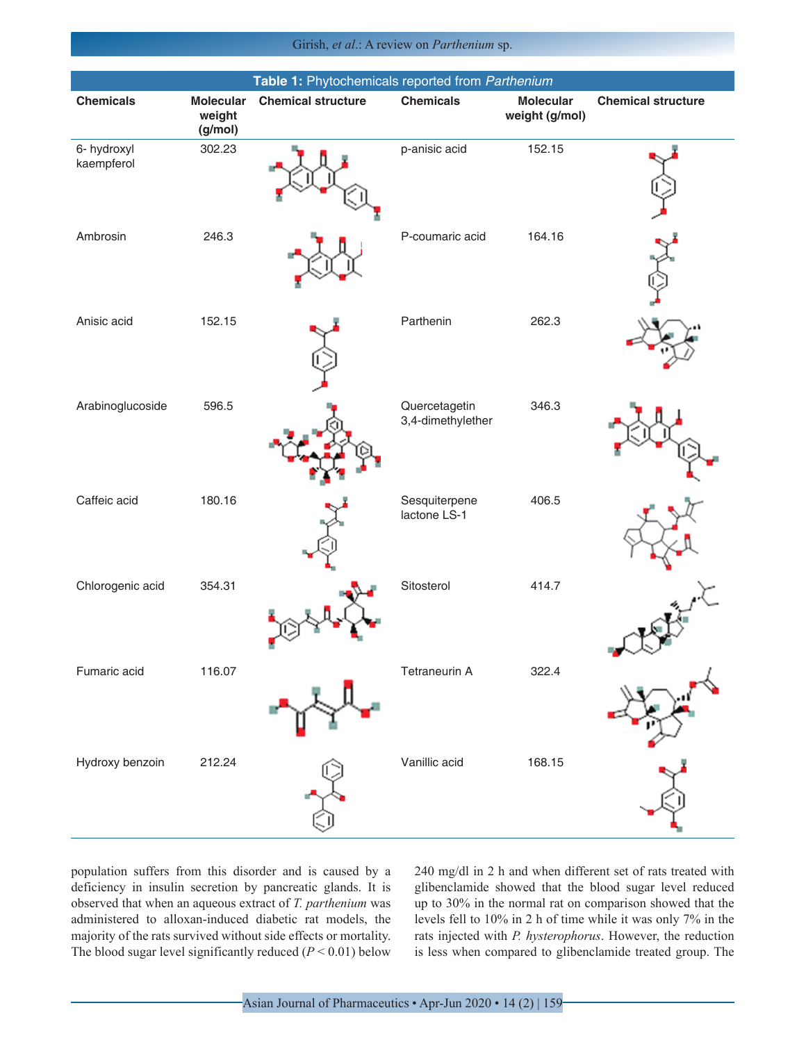Girish, *et al*.: A review on *Parthenium* sp.

| Table 1: Phytochemicals reported from Parthenium |                                       |                           |                                    |                                    |                           |  |  |
|--------------------------------------------------|---------------------------------------|---------------------------|------------------------------------|------------------------------------|---------------------------|--|--|
| <b>Chemicals</b>                                 | <b>Molecular</b><br>weight<br>(g/mol) | <b>Chemical structure</b> | <b>Chemicals</b>                   | <b>Molecular</b><br>weight (g/mol) | <b>Chemical structure</b> |  |  |
| 6- hydroxyl<br>kaempferol                        | 302.23                                |                           | p-anisic acid                      | 152.15                             |                           |  |  |
| Ambrosin                                         | 246.3                                 |                           | P-coumaric acid                    | 164.16                             |                           |  |  |
| Anisic acid                                      | 152.15                                |                           | Parthenin                          | 262.3                              |                           |  |  |
| Arabinoglucoside                                 | 596.5                                 |                           | Quercetagetin<br>3,4-dimethylether | 346.3                              |                           |  |  |
| Caffeic acid                                     | 180.16                                |                           | Sesquiterpene<br>lactone LS-1      | 406.5                              |                           |  |  |
| Chlorogenic acid                                 | 354.31                                |                           | Sitosterol                         | 414.7                              |                           |  |  |
| Fumaric acid                                     | 116.07                                |                           | Tetraneurin A                      | 322.4                              |                           |  |  |
| Hydroxy benzoin                                  | 212.24                                |                           | Vanillic acid                      | 168.15                             |                           |  |  |

population suffers from this disorder and is caused by a deficiency in insulin secretion by pancreatic glands. It is observed that when an aqueous extract of *T. parthenium* was administered to alloxan-induced diabetic rat models, the majority of the rats survived without side effects or mortality. The blood sugar level significantly reduced  $(P < 0.01)$  below 240 mg/dl in 2 h and when different set of rats treated with glibenclamide showed that the blood sugar level reduced up to 30% in the normal rat on comparison showed that the levels fell to 10% in 2 h of time while it was only 7% in the rats injected with *P. hysterophorus*. However, the reduction is less when compared to glibenclamide treated group. The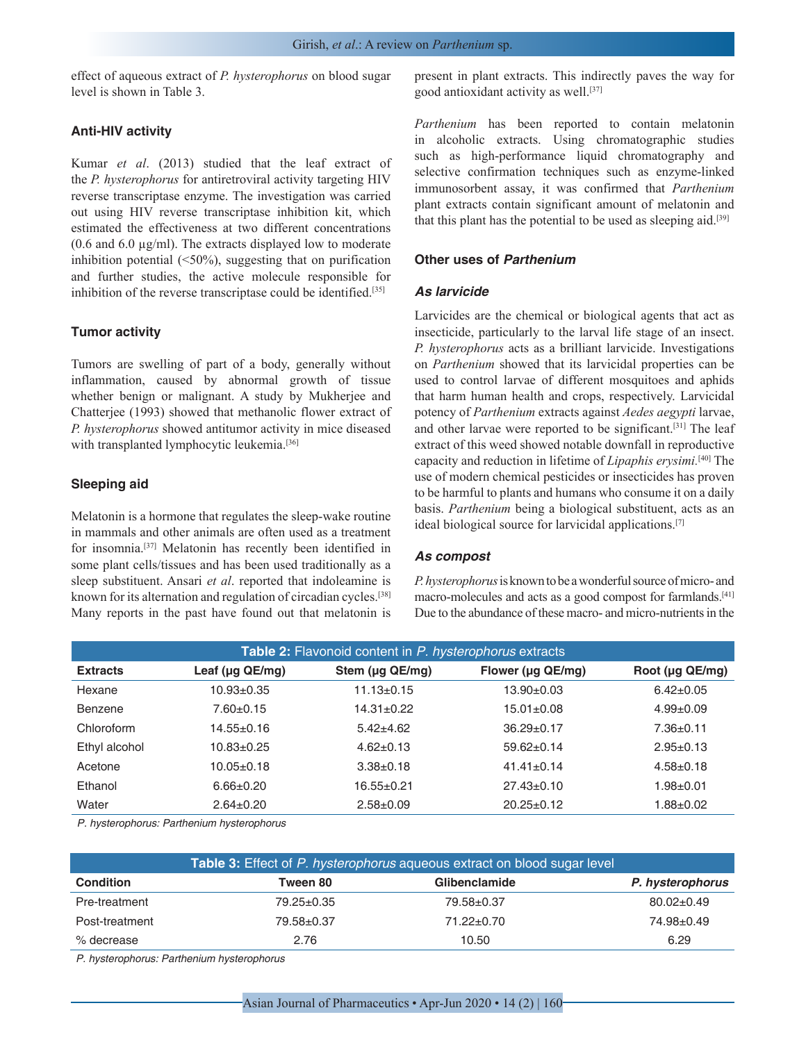effect of aqueous extract of *P. hysterophorus* on blood sugar level is shown in Table 3.

## **Anti-HIV activity**

Kumar *et al*. (2013) studied that the leaf extract of the *P. hysterophorus* for antiretroviral activity targeting HIV reverse transcriptase enzyme. The investigation was carried out using HIV reverse transcriptase inhibition kit, which estimated the effectiveness at two different concentrations  $(0.6$  and  $6.0 \mu g/ml)$ . The extracts displayed low to moderate inhibition potential  $(50\%)$ , suggesting that on purification and further studies, the active molecule responsible for inhibition of the reverse transcriptase could be identified.<sup>[35]</sup>

## **Tumor activity**

Tumors are swelling of part of a body, generally without inflammation, caused by abnormal growth of tissue whether benign or malignant. A study by Mukherjee and Chatterjee (1993) showed that methanolic flower extract of *P. hysterophorus* showed antitumor activity in mice diseased with transplanted lymphocytic leukemia.<sup>[36]</sup>

## **Sleeping aid**

Melatonin is a hormone that regulates the sleep-wake routine in mammals and other animals are often used as a treatment for insomnia.[37] Melatonin has recently been identified in some plant cells/tissues and has been used traditionally as a sleep substituent. Ansari *et al*. reported that indoleamine is known for its alternation and regulation of circadian cycles.[38] Many reports in the past have found out that melatonin is present in plant extracts. This indirectly paves the way for good antioxidant activity as well.[37]

*Parthenium* has been reported to contain melatonin in alcoholic extracts. Using chromatographic studies such as high-performance liquid chromatography and selective confirmation techniques such as enzyme-linked immunosorbent assay, it was confirmed that *Parthenium* plant extracts contain significant amount of melatonin and that this plant has the potential to be used as sleeping aid.<sup>[39]</sup>

## **Other uses of** *Parthenium*

### *As larvicide*

Larvicides are the chemical or biological agents that act as insecticide, particularly to the larval life stage of an insect. *P. hysterophorus* acts as a brilliant larvicide. Investigations on *Parthenium* showed that its larvicidal properties can be used to control larvae of different mosquitoes and aphids that harm human health and crops, respectively. Larvicidal potency of *Parthenium* extracts against *Aedes aegypti* larvae, and other larvae were reported to be significant.[31] The leaf extract of this weed showed notable downfall in reproductive capacity and reduction in lifetime of *Lipaphis erysimi.*[40] The use of modern chemical pesticides or insecticides has proven to be harmful to plants and humans who consume it on a daily basis. *Parthenium* being a biological substituent, acts as an ideal biological source for larvicidal applications.[7]

## *As compost*

*P. hysterophorus* is known to be a wonderful source of micro- and macro-molecules and acts as a good compost for farmlands.<sup>[41]</sup> Due to the abundance of these macro- and micro-nutrients in the

| Table 2: Flavonoid content in P. hysterophorus extracts |                       |                       |                   |                       |  |  |
|---------------------------------------------------------|-----------------------|-----------------------|-------------------|-----------------------|--|--|
| <b>Extracts</b>                                         | Leaf ( $\mu$ g QE/mg) | Stem ( $\mu$ g QE/mg) | Flower (µg QE/mg) | Root ( $\mu$ g QE/mg) |  |  |
| Hexane                                                  | $10.93 \pm 0.35$      | $11.13 \pm 0.15$      | $13.90+0.03$      | $6.42 \pm 0.05$       |  |  |
| Benzene                                                 | $7.60 \pm 0.15$       | $14.31 \pm 0.22$      | $15.01 \pm 0.08$  | $4.99 \pm 0.09$       |  |  |
| Chloroform                                              | $14.55 \pm 0.16$      | $5.42 \pm 4.62$       | $36.29 \pm 0.17$  | $7.36 \pm 0.11$       |  |  |
| Ethyl alcohol                                           | $10.83 \pm 0.25$      | $4.62 \pm 0.13$       | $59.62 \pm 0.14$  | $2.95 \pm 0.13$       |  |  |
| Acetone                                                 | $10.05 \pm 0.18$      | $3.38 \pm 0.18$       | $41.41 \pm 0.14$  | $4.58 \pm 0.18$       |  |  |
| Ethanol                                                 | $6.66 \pm 0.20$       | $16.55 \pm 0.21$      | $27.43 \pm 0.10$  | $1.98 + 0.01$         |  |  |
| Water                                                   | $2.64 \pm 0.20$       | $2.58 + 0.09$         | $20.25 \pm 0.12$  | $1.88 + 0.02$         |  |  |

*P. hysterophorus: Parthenium hysterophorus*

| <b>Table 3:</b> Effect of P. hysterophorus aqueous extract on blood sugar level |            |                  |                  |  |  |
|---------------------------------------------------------------------------------|------------|------------------|------------------|--|--|
| <b>Condition</b>                                                                | Tween 80   | Glibenclamide    | P. hysterophorus |  |  |
| Pre-treatment                                                                   | 79.25±0.35 | 79.58±0.37       | $80.02 \pm 0.49$ |  |  |
| Post-treatment                                                                  | 79.58±0.37 | $71.22 \pm 0.70$ | 74.98±0.49       |  |  |
| % decrease                                                                      | 2.76       | 10.50            | 6.29             |  |  |

*P. hysterophorus: Parthenium hysterophorus*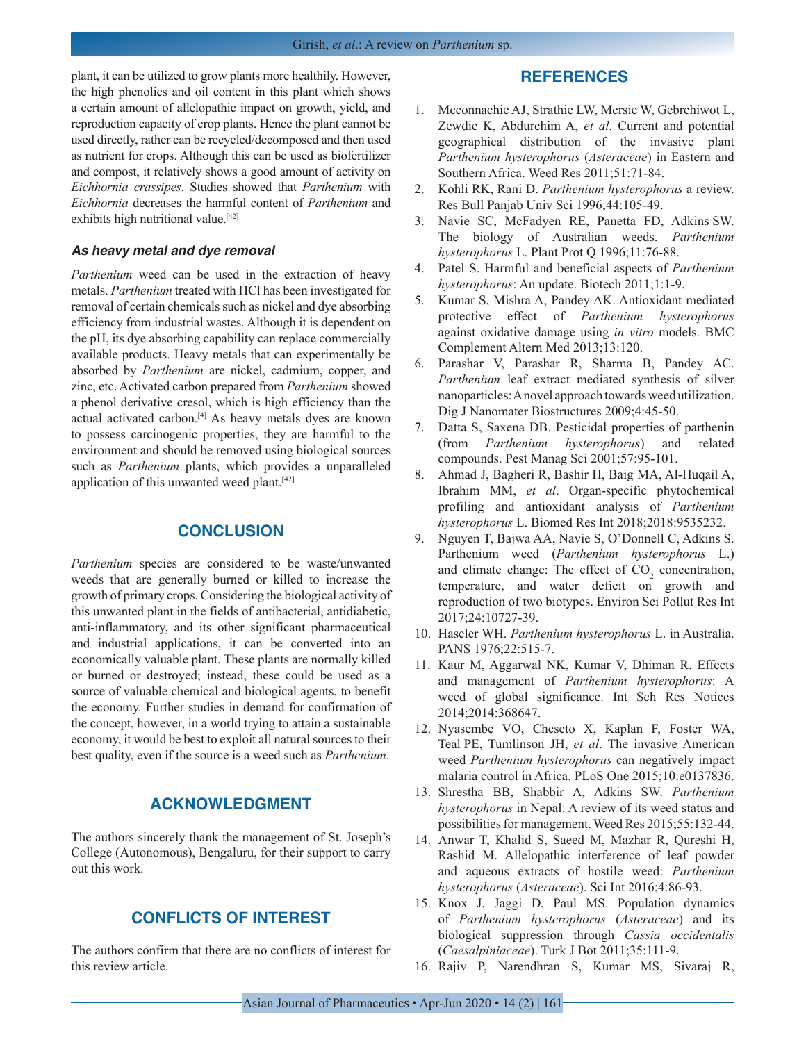plant, it can be utilized to grow plants more healthily. However, the high phenolics and oil content in this plant which shows a certain amount of allelopathic impact on growth, yield, and reproduction capacity of crop plants. Hence the plant cannot be used directly, rather can be recycled/decomposed and then used as nutrient for crops. Although this can be used as biofertilizer and compost, it relatively shows a good amount of activity on *Eichhornia crassipes*. Studies showed that *Parthenium* with *Eichhornia* decreases the harmful content of *Parthenium* and exhibits high nutritional value.<sup>[42]</sup>

### *As heavy metal and dye removal*

*Parthenium* weed can be used in the extraction of heavy metals. *Parthenium* treated with HCl has been investigated for removal of certain chemicals such as nickel and dye absorbing efficiency from industrial wastes. Although it is dependent on the pH, its dye absorbing capability can replace commercially available products. Heavy metals that can experimentally be absorbed by *Parthenium* are nickel, cadmium, copper, and zinc, etc. Activated carbon prepared from *Parthenium* showed a phenol derivative cresol, which is high efficiency than the actual activated carbon.[4] As heavy metals dyes are known to possess carcinogenic properties, they are harmful to the environment and should be removed using biological sources such as *Parthenium* plants, which provides a unparalleled application of this unwanted weed plant.[42]

## **CONCLUSION**

*Parthenium* species are considered to be waste/unwanted weeds that are generally burned or killed to increase the growth of primary crops. Considering the biological activity of this unwanted plant in the fields of antibacterial, antidiabetic, anti-inflammatory, and its other significant pharmaceutical and industrial applications, it can be converted into an economically valuable plant. These plants are normally killed or burned or destroyed; instead, these could be used as a source of valuable chemical and biological agents, to benefit the economy. Further studies in demand for confirmation of the concept, however, in a world trying to attain a sustainable economy, it would be best to exploit all natural sources to their best quality, even if the source is a weed such as *Parthenium*.

# **ACKNOWLEDGMENT**

The authors sincerely thank the management of St. Joseph's College (Autonomous), Bengaluru, for their support to carry out this work.

# **CONFLICTS OF INTEREST**

The authors confirm that there are no conflicts of interest for this review article.

## **REFERENCES**

- 1. Mcconnachie AJ, Strathie LW, Mersie W, Gebrehiwot L, Zewdie K, Abdurehim A, *et al*. Current and potential geographical distribution of the invasive plant *Parthenium hysterophorus* (*Asteraceae*) in Eastern and Southern Africa. Weed Res 2011;51:71-84.
- 2. Kohli RK, Rani D. *Parthenium hysterophorus* a review. Res Bull Panjab Univ Sci 1996;44:105-49.
- 3. Navie SC, McFadyen RE, Panetta FD, Adkins SW. The biology of Australian weeds. *Parthenium hysterophorus* L. Plant Prot Q 1996;11:76-88.
- 4. Patel S. Harmful and beneficial aspects of *Parthenium hysterophorus*: An update. Biotech 2011;1:1-9.
- 5. Kumar S, Mishra A, Pandey AK. Antioxidant mediated protective effect of *Parthenium hysterophorus* against oxidative damage using *in vitro* models. BMC Complement Altern Med 2013;13:120.
- 6. Parashar V, Parashar R, Sharma B, Pandey AC. *Parthenium* leaf extract mediated synthesis of silver nanoparticles: A novel approach towards weed utilization. Dig J Nanomater Biostructures 2009;4:45-50.
- 7. Datta S, Saxena DB. Pesticidal properties of parthenin (from *Parthenium hysterophorus*) and related compounds. Pest Manag Sci 2001;57:95-101.
- 8. Ahmad J, Bagheri R, Bashir H, Baig MA, Al-Huqail A, Ibrahim MM, *et al*. Organ-specific phytochemical profiling and antioxidant analysis of *Parthenium hysterophorus* L. Biomed Res Int 2018;2018:9535232.
- 9. Nguyen T, Bajwa AA, Navie S, O'Donnell C, Adkins S. Parthenium weed (*Parthenium hysterophorus* L.) and climate change: The effect of  $CO<sub>2</sub>$  concentration, temperature, and water deficit on growth and reproduction of two biotypes. Environ Sci Pollut Res Int 2017;24:10727-39.
- 10. Haseler WH. *Parthenium hysterophorus* L. in Australia. PANS 1976;22:515-7.
- 11. Kaur M, Aggarwal NK, Kumar V, Dhiman R. Effects and management of *Parthenium hysterophorus*: A weed of global significance. Int Sch Res Notices 2014;2014:368647.
- 12. Nyasembe VO, Cheseto X, Kaplan F, Foster WA, Teal PE, Tumlinson JH, *et al*. The invasive American weed *Parthenium hysterophorus* can negatively impact malaria control in Africa. PLoS One 2015;10:e0137836.
- 13. Shrestha BB, Shabbir A, Adkins SW. *Parthenium hysterophorus* in Nepal: A review of its weed status and possibilities for management. Weed Res 2015;55:132-44.
- 14. Anwar T, Khalid S, Saeed M, Mazhar R, Qureshi H, Rashid M. Allelopathic interference of leaf powder and aqueous extracts of hostile weed: *Parthenium hysterophorus* (*Asteraceae*). Sci Int 2016;4:86-93.
- 15. Knox J, Jaggi D, Paul MS. Population dynamics of *Parthenium hysterophorus* (*Asteraceae*) and its biological suppression through *Cassia occidentalis* (*Caesalpiniaceae*). Turk J Bot 2011;35:111-9.
- 16. Rajiv P, Narendhran S, Kumar MS, Sivaraj R,